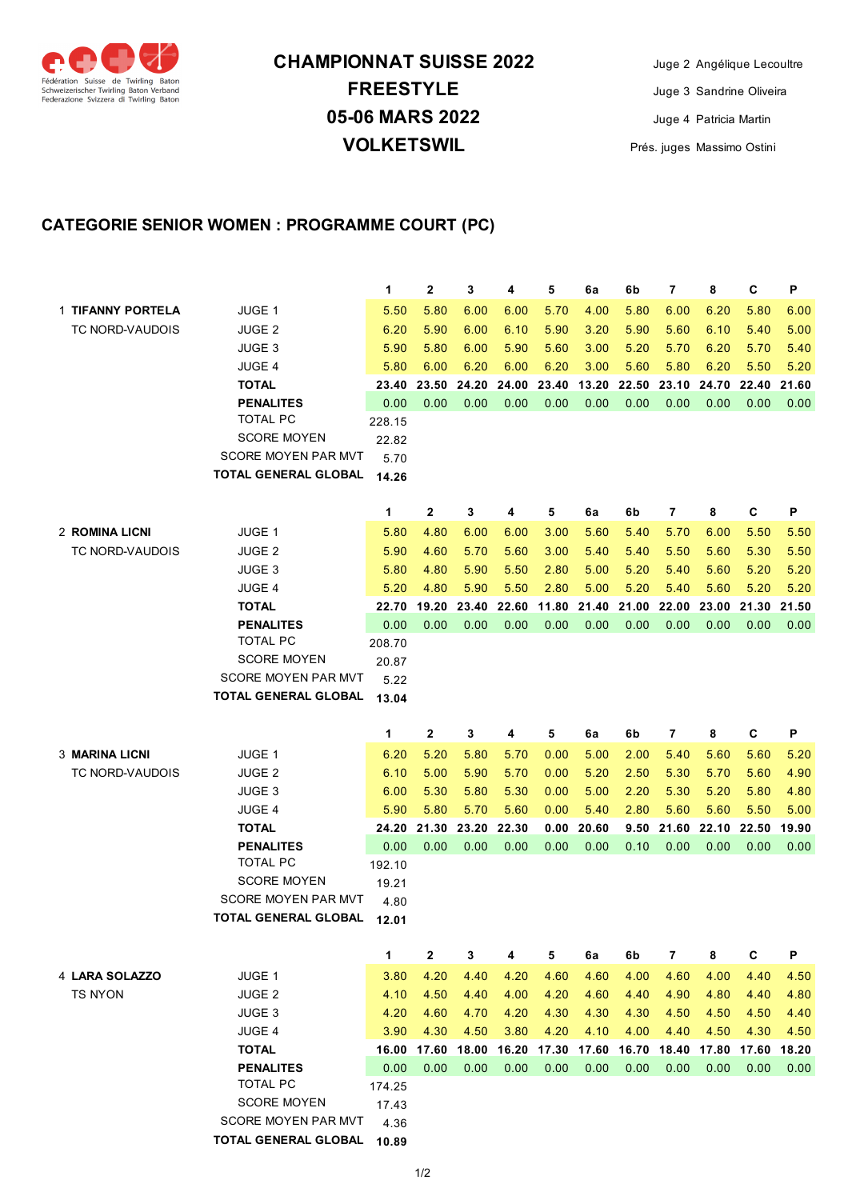

## **05-06 MARS 2022 VOLKETSWIL CHAMPIONNAT SUISSE 2022 FREESTYLE**

Juge 2 Angélique Lecoultre Juge 3 Sandrine Oliveira Juge 4 Patricia Martin Prés. juges Massimo Ostini

## **CATEGORIE SENIOR WOMEN : PROGRAMME COURT (PC)**

|                        |                                                    | 1             | 2            | 3     | 4     | 5     | 6a    | 6b                | $\overline{7}$ | 8     | C     | Ρ     |
|------------------------|----------------------------------------------------|---------------|--------------|-------|-------|-------|-------|-------------------|----------------|-------|-------|-------|
| 1 TIFANNY PORTELA      | JUGE 1                                             | 5.50          | 5.80         | 6.00  | 6.00  | 5.70  | 4.00  | 5.80              | 6.00           | 6.20  | 5.80  | 6.00  |
| <b>TC NORD-VAUDOIS</b> | <b>JUGE 2</b>                                      | 6.20          | 5.90         | 6.00  | 6.10  | 5.90  | 3.20  | 5.90              | 5.60           | 6.10  | 5.40  | 5.00  |
|                        | <b>JUGE 3</b>                                      | 5.90          | 5.80         | 6.00  | 5.90  | 5.60  | 3.00  | 5.20              | 5.70           | 6.20  | 5.70  | 5.40  |
|                        | <b>JUGE 4</b>                                      | 5.80          | 6.00         | 6.20  | 6.00  | 6.20  | 3.00  | 5.60              | 5.80           | 6.20  | 5.50  | 5.20  |
|                        | <b>TOTAL</b>                                       | 23.40         | 23.50        | 24.20 | 24.00 | 23.40 | 13.20 | 22.50             | 23.10          | 24.70 | 22.40 | 21.60 |
|                        | <b>PENALITES</b>                                   | 0.00          | 0.00         | 0.00  | 0.00  | 0.00  | 0.00  | 0.00              | 0.00           | 0.00  | 0.00  | 0.00  |
|                        | <b>TOTAL PC</b>                                    | 228.15        |              |       |       |       |       |                   |                |       |       |       |
|                        | <b>SCORE MOYEN</b>                                 | 22.82         |              |       |       |       |       |                   |                |       |       |       |
|                        | SCORE MOYEN PAR MVT                                | 5.70          |              |       |       |       |       |                   |                |       |       |       |
|                        | <b>TOTAL GENERAL GLOBAL</b>                        | 14.26         |              |       |       |       |       |                   |                |       |       |       |
|                        |                                                    | 1             | 2            | 3     | 4     | 5     | 6a    | 6b                | 7              | 8     | C     | Р     |
| 2 ROMINA LICNI         | JUGE 1                                             | 5.80          | 4.80         | 6.00  | 6.00  | 3.00  | 5.60  | 5.40              | 5.70           | 6.00  | 5.50  | 5.50  |
| <b>TC NORD-VAUDOIS</b> | JUGE <sub>2</sub>                                  | 5.90          | 4.60         | 5.70  | 5.60  | 3.00  | 5.40  | 5.40              | 5.50           | 5.60  | 5.30  | 5.50  |
|                        | <b>JUGE 3</b>                                      | 5.80          | 4.80         | 5.90  | 5.50  | 2.80  | 5.00  | 5.20              | 5.40           | 5.60  | 5.20  | 5.20  |
|                        | <b>JUGE 4</b>                                      | 5.20          | 4.80         | 5.90  | 5.50  | 2.80  | 5.00  | 5.20              | 5.40           | 5.60  | 5.20  | 5.20  |
|                        | <b>TOTAL</b>                                       | 22.70         | 19.20        | 23.40 | 22.60 | 11.80 | 21.40 | 21.00             | 22.00          | 23.00 | 21.30 | 21.50 |
|                        | <b>PENALITES</b>                                   | 0.00          | 0.00         | 0.00  | 0.00  | 0.00  | 0.00  | 0.00              | 0.00           | 0.00  | 0.00  | 0.00  |
|                        | <b>TOTAL PC</b>                                    | 208.70        |              |       |       |       |       |                   |                |       |       |       |
|                        | <b>SCORE MOYEN</b>                                 | 20.87         |              |       |       |       |       |                   |                |       |       |       |
|                        | SCORE MOYEN PAR MVT                                | 5.22          |              |       |       |       |       |                   |                |       |       |       |
|                        | <b>TOTAL GENERAL GLOBAL</b>                        | 13.04         |              |       |       |       |       |                   |                |       |       |       |
|                        |                                                    |               |              |       |       |       |       |                   |                |       |       |       |
|                        |                                                    | 1             | 2            | 3     | 4     | 5     | 6a    | 6b                | 7              | 8     | C     | P     |
| 3 MARINA LICNI         | JUGE 1                                             | 6.20          | 5.20         | 5.80  | 5.70  | 0.00  | 5.00  | 2.00              | 5.40           | 5.60  | 5.60  | 5.20  |
| <b>TC NORD-VAUDOIS</b> | <b>JUGE 2</b>                                      | 6.10          | 5.00         | 5.90  | 5.70  | 0.00  | 5.20  | 2.50              | 5.30           | 5.70  | 5.60  | 4.90  |
|                        | <b>JUGE 3</b>                                      | 6.00          | 5.30         | 5.80  | 5.30  | 0.00  | 5.00  | 2.20              | 5.30           | 5.20  | 5.80  | 4.80  |
|                        | <b>JUGE 4</b>                                      | 5.90          | 5.80         | 5.70  | 5.60  | 0.00  | 5.40  | 2.80              | 5.60           | 5.60  | 5.50  | 5.00  |
|                        | <b>TOTAL</b>                                       | 24.20         | 21.30        | 23.20 | 22.30 | 0.00  | 20.60 | 9.50              | 21.60          | 22.10 | 22.50 | 19.90 |
|                        | <b>PENALITES</b>                                   | 0.00          | 0.00         | 0.00  | 0.00  | 0.00  | 0.00  | 0.10              | 0.00           | 0.00  | 0.00  | 0.00  |
|                        | <b>TOTAL PC</b>                                    | 192.10        |              |       |       |       |       |                   |                |       |       |       |
|                        | <b>SCORE MOYEN</b>                                 | 19.21         |              |       |       |       |       |                   |                |       |       |       |
|                        | <b>SCORE MOYEN PAR MVT</b>                         | 4.80          |              |       |       |       |       |                   |                |       |       |       |
|                        | TOTAL GENERAL GLOBAL                               | 12.01         |              |       |       |       |       |                   |                |       |       |       |
|                        |                                                    | $\mathbf{1}$  | $\mathbf{2}$ | 3     | 4     | 5     | 6a    | 6b                | $\overline{7}$ | 8     | С     | P     |
| 4 LARA SOLAZZO         | JUGE 1                                             | 3.80          | 4.20         | 4.40  | 4.20  | 4.60  | 4.60  | 4.00              | 4.60           | 4.00  | 4.40  | 4.50  |
| <b>TS NYON</b>         | JUGE <sub>2</sub>                                  | 4.10          | 4.50         | 4.40  | 4.00  | 4.20  | 4.60  | 4.40              | 4.90           | 4.80  | 4.40  | 4.80  |
|                        | JUGE <sub>3</sub>                                  | 4.20          | 4.60         | 4.70  | 4.20  | 4.30  | 4.30  | 4.30              | 4.50           | 4.50  | 4.50  | 4.40  |
|                        | JUGE 4                                             | 3.90          | 4.30         | 4.50  | 3.80  | 4.20  | 4.10  | 4.00              | 4.40           | 4.50  | 4.30  | 4.50  |
|                        | <b>TOTAL</b>                                       | 16.00         | 17.60        | 18.00 | 16.20 | 17.30 |       | 17.60 16.70 18.40 |                | 17.80 | 17.60 | 18.20 |
|                        | <b>PENALITES</b>                                   | 0.00          | 0.00         | 0.00  | 0.00  | 0.00  | 0.00  | 0.00              | 0.00           | 0.00  | 0.00  | 0.00  |
|                        | <b>TOTAL PC</b>                                    | 174.25        |              |       |       |       |       |                   |                |       |       |       |
|                        | <b>SCORE MOYEN</b>                                 | 17.43         |              |       |       |       |       |                   |                |       |       |       |
|                        | SCORE MOYEN PAR MVT<br><b>TOTAL GENERAL GLOBAL</b> | 4.36<br>10.89 |              |       |       |       |       |                   |                |       |       |       |